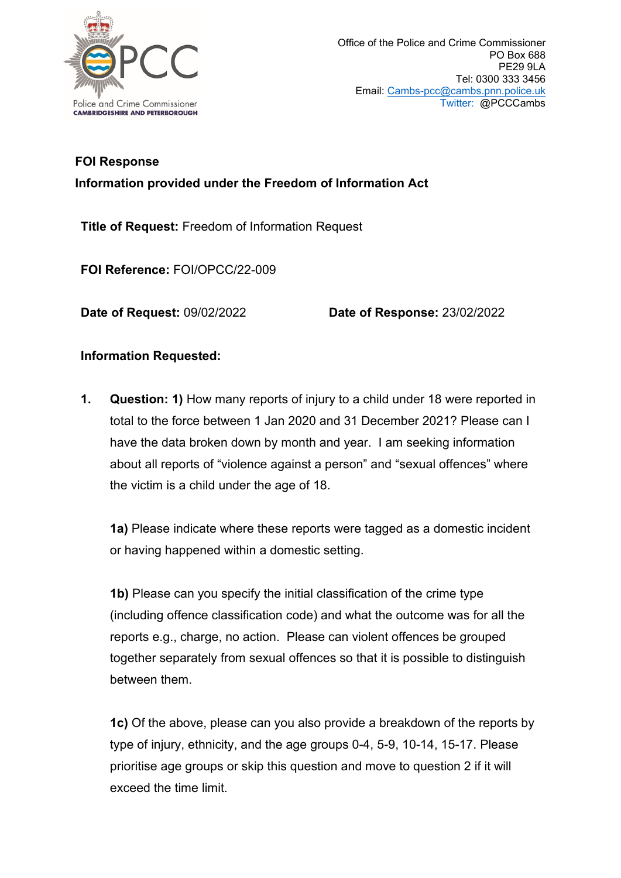

## **FOI Response Information provided under the Freedom of Information Act**

**Title of Request:** Freedom of Information Request

**FOI Reference:** FOI/OPCC/22-009

**Date of Request:** 09/02/2022 **Date of Response:** 23/02/2022

## **Information Requested:**

**1. Question: 1)** How many reports of injury to a child under 18 were reported in total to the force between 1 Jan 2020 and 31 December 2021? Please can I have the data broken down by month and year. I am seeking information about all reports of "violence against a person" and "sexual offences" where the victim is a child under the age of 18.

**1a)** Please indicate where these reports were tagged as a domestic incident or having happened within a domestic setting.

**1b)** Please can you specify the initial classification of the crime type (including offence classification code) and what the outcome was for all the reports e.g., charge, no action. Please can violent offences be grouped together separately from sexual offences so that it is possible to distinguish between them.

**1c)** Of the above, please can you also provide a breakdown of the reports by type of injury, ethnicity, and the age groups 0-4, 5-9, 10-14, 15-17. Please prioritise age groups or skip this question and move to question 2 if it will exceed the time limit.